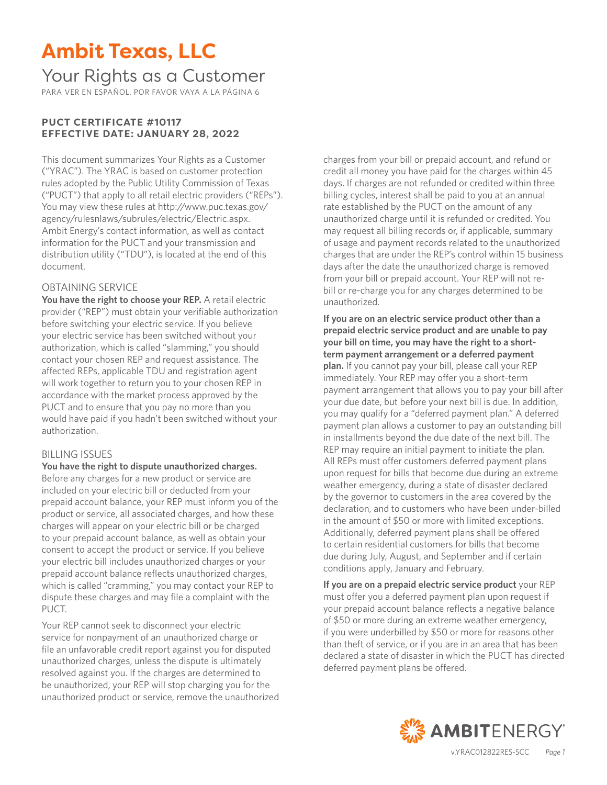## Your Rights as a Customer

PARA VER EN ESPAÑOL, POR FAVOR VAYA A LA PÁGINA 6

#### **PUCT CERTIFICATE #10117 EFFECTIVE DATE: JANUARY 28, 2022**

This document summarizes Your Rights as a Customer ("YRAC"). The YRAC is based on customer protection rules adopted by the Public Utility Commission of Texas ("PUCT") that apply to all retail electric providers ("REPs"). You may view these rules at http://www.puc.texas.gov/ agency/rulesnlaws/subrules/electric/Electric.aspx. Ambit Energy's contact information, as well as contact information for the PUCT and your transmission and distribution utility ("TDU"), is located at the end of this document.

#### OBTAINING SERVICE

**You have the right to choose your REP.** A retail electric provider ("REP") must obtain your verifiable authorization before switching your electric service. If you believe your electric service has been switched without your authorization, which is called "slamming," you should contact your chosen REP and request assistance. The affected REPs, applicable TDU and registration agent will work together to return you to your chosen REP in accordance with the market process approved by the PUCT and to ensure that you pay no more than you would have paid if you hadn't been switched without your authorization.

#### BILLING ISSUES

#### **You have the right to dispute unauthorized charges.**

Before any charges for a new product or service are included on your electric bill or deducted from your prepaid account balance, your REP must inform you of the product or service, all associated charges, and how these charges will appear on your electric bill or be charged to your prepaid account balance, as well as obtain your consent to accept the product or service. If you believe your electric bill includes unauthorized charges or your prepaid account balance reflects unauthorized charges, which is called "cramming," you may contact your REP to dispute these charges and may file a complaint with the PUCT.

Your REP cannot seek to disconnect your electric service for nonpayment of an unauthorized charge or file an unfavorable credit report against you for disputed unauthorized charges, unless the dispute is ultimately resolved against you. If the charges are determined to be unauthorized, your REP will stop charging you for the unauthorized product or service, remove the unauthorized charges from your bill or prepaid account, and refund or credit all money you have paid for the charges within 45 days. If charges are not refunded or credited within three billing cycles, interest shall be paid to you at an annual rate established by the PUCT on the amount of any unauthorized charge until it is refunded or credited. You may request all billing records or, if applicable, summary of usage and payment records related to the unauthorized charges that are under the REP's control within 15 business days after the date the unauthorized charge is removed from your bill or prepaid account. Your REP will not rebill or re-charge you for any charges determined to be unauthorized.

**If you are on an electric service product other than a prepaid electric service product and are unable to pay your bill on time, you may have the right to a shortterm payment arrangement or a deferred payment plan.** If you cannot pay your bill, please call your REP immediately. Your REP may offer you a short-term payment arrangement that allows you to pay your bill after your due date, but before your next bill is due. In addition, you may qualify for a "deferred payment plan." A deferred payment plan allows a customer to pay an outstanding bill in installments beyond the due date of the next bill. The REP may require an initial payment to initiate the plan. All REPs must offer customers deferred payment plans upon request for bills that become due during an extreme weather emergency, during a state of disaster declared by the governor to customers in the area covered by the declaration, and to customers who have been under-billed in the amount of \$50 or more with limited exceptions. Additionally, deferred payment plans shall be offered to certain residential customers for bills that become due during July, August, and September and if certain conditions apply, January and February.

**If you are on a prepaid electric service product** your REP must offer you a deferred payment plan upon request if your prepaid account balance reflects a negative balance of \$50 or more during an extreme weather emergency, if you were underbilled by \$50 or more for reasons other than theft of service, or if you are in an area that has been declared a state of disaster in which the PUCT has directed deferred payment plans be offered.

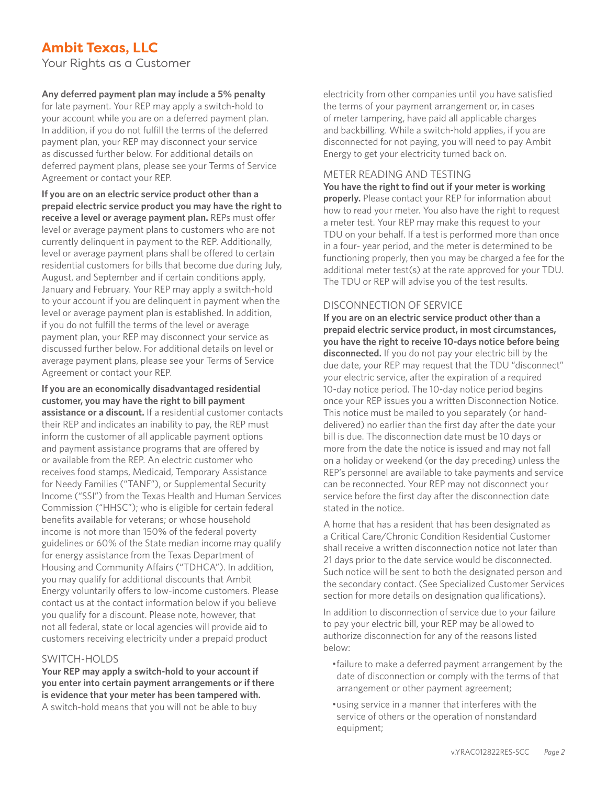Your Rights as a Customer

#### **Any deferred payment plan may include a 5% penalty**

for late payment. Your REP may apply a switch-hold to your account while you are on a deferred payment plan. In addition, if you do not fulfill the terms of the deferred payment plan, your REP may disconnect your service as discussed further below. For additional details on deferred payment plans, please see your Terms of Service Agreement or contact your REP.

**If you are on an electric service product other than a prepaid electric service product you may have the right to receive a level or average payment plan.** REPs must offer level or average payment plans to customers who are not currently delinquent in payment to the REP. Additionally, level or average payment plans shall be offered to certain residential customers for bills that become due during July, August, and September and if certain conditions apply, January and February. Your REP may apply a switch-hold to your account if you are delinquent in payment when the level or average payment plan is established. In addition, if you do not fulfill the terms of the level or average payment plan, your REP may disconnect your service as discussed further below. For additional details on level or average payment plans, please see your Terms of Service Agreement or contact your REP.

**If you are an economically disadvantaged residential customer, you may have the right to bill payment assistance or a discount.** If a residential customer contacts their REP and indicates an inability to pay, the REP must inform the customer of all applicable payment options and payment assistance programs that are offered by or available from the REP. An electric customer who receives food stamps, Medicaid, Temporary Assistance for Needy Families ("TANF"), or Supplemental Security Income ("SSI") from the Texas Health and Human Services Commission ("HHSC"); who is eligible for certain federal benefits available for veterans; or whose household income is not more than 150% of the federal poverty guidelines or 60% of the State median income may qualify for energy assistance from the Texas Department of Housing and Community Affairs ("TDHCA"). In addition, you may qualify for additional discounts that Ambit Energy voluntarily offers to low-income customers. Please contact us at the contact information below if you believe you qualify for a discount. Please note, however, that not all federal, state or local agencies will provide aid to customers receiving electricity under a prepaid product

#### SWITCH-HOLDS

**Your REP may apply a switch-hold to your account if you enter into certain payment arrangements or if there is evidence that your meter has been tampered with.** A switch-hold means that you will not be able to buy

electricity from other companies until you have satisfied the terms of your payment arrangement or, in cases of meter tampering, have paid all applicable charges and backbilling. While a switch-hold applies, if you are disconnected for not paying, you will need to pay Ambit Energy to get your electricity turned back on.

#### METER READING AND TESTING

**You have the right to find out if your meter is working properly.** Please contact your REP for information about how to read your meter. You also have the right to request a meter test. Your REP may make this request to your TDU on your behalf. If a test is performed more than once in a four- year period, and the meter is determined to be functioning properly, then you may be charged a fee for the additional meter test(s) at the rate approved for your TDU. The TDU or REP will advise you of the test results.

#### DISCONNECTION OF SERVICE

**If you are on an electric service product other than a prepaid electric service product, in most circumstances, you have the right to receive 10-days notice before being disconnected.** If you do not pay your electric bill by the due date, your REP may request that the TDU "disconnect" your electric service, after the expiration of a required 10-day notice period. The 10-day notice period begins once your REP issues you a written Disconnection Notice. This notice must be mailed to you separately (or handdelivered) no earlier than the first day after the date your bill is due. The disconnection date must be 10 days or more from the date the notice is issued and may not fall on a holiday or weekend (or the day preceding) unless the REP's personnel are available to take payments and service can be reconnected. Your REP may not disconnect your service before the first day after the disconnection date stated in the notice.

A home that has a resident that has been designated as a Critical Care/Chronic Condition Residential Customer shall receive a written disconnection notice not later than 21 days prior to the date service would be disconnected. Such notice will be sent to both the designated person and the secondary contact. (See Specialized Customer Services section for more details on designation qualifications).

In addition to disconnection of service due to your failure to pay your electric bill, your REP may be allowed to authorize disconnection for any of the reasons listed below:

- •failure to make a deferred payment arrangement by the date of disconnection or comply with the terms of that arrangement or other payment agreement;
- •using service in a manner that interferes with the service of others or the operation of nonstandard equipment;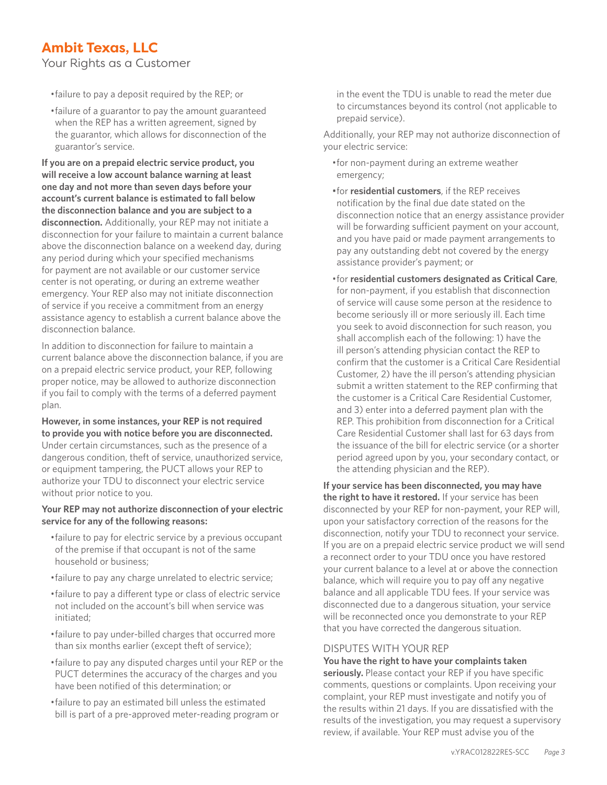Your Rights as a Customer

- •failure to pay a deposit required by the REP; or
- •failure of a guarantor to pay the amount guaranteed when the REP has a written agreement, signed by the guarantor, which allows for disconnection of the guarantor's service.

**If you are on a prepaid electric service product, you will receive a low account balance warning at least one day and not more than seven days before your account's current balance is estimated to fall below the disconnection balance and you are subject to a disconnection.** Additionally, your REP may not initiate a disconnection for your failure to maintain a current balance above the disconnection balance on a weekend day, during any period during which your specified mechanisms for payment are not available or our customer service center is not operating, or during an extreme weather emergency. Your REP also may not initiate disconnection of service if you receive a commitment from an energy assistance agency to establish a current balance above the disconnection balance.

In addition to disconnection for failure to maintain a current balance above the disconnection balance, if you are on a prepaid electric service product, your REP, following proper notice, may be allowed to authorize disconnection if you fail to comply with the terms of a deferred payment plan.

#### **However, in some instances, your REP is not required to provide you with notice before you are disconnected.**

Under certain circumstances, such as the presence of a dangerous condition, theft of service, unauthorized service, or equipment tampering, the PUCT allows your REP to authorize your TDU to disconnect your electric service without prior notice to you.

#### **Your REP may not authorize disconnection of your electric service for any of the following reasons:**

- •failure to pay for electric service by a previous occupant of the premise if that occupant is not of the same household or business;
- •failure to pay any charge unrelated to electric service;
- •failure to pay a different type or class of electric service not included on the account's bill when service was initiated;
- •failure to pay under-billed charges that occurred more than six months earlier (except theft of service);
- •failure to pay any disputed charges until your REP or the PUCT determines the accuracy of the charges and you have been notified of this determination; or
- •failure to pay an estimated bill unless the estimated bill is part of a pre-approved meter-reading program or

in the event the TDU is unable to read the meter due to circumstances beyond its control (not applicable to prepaid service).

Additionally, your REP may not authorize disconnection of your electric service:

- •for non-payment during an extreme weather emergency;
- •for **residential customers**, if the REP receives notification by the final due date stated on the disconnection notice that an energy assistance provider will be forwarding sufficient payment on your account, and you have paid or made payment arrangements to pay any outstanding debt not covered by the energy assistance provider's payment; or
- •for **residential customers designated as Critical Care**, for non-payment, if you establish that disconnection of service will cause some person at the residence to become seriously ill or more seriously ill. Each time you seek to avoid disconnection for such reason, you shall accomplish each of the following: 1) have the ill person's attending physician contact the REP to confirm that the customer is a Critical Care Residential Customer, 2) have the ill person's attending physician submit a written statement to the REP confirming that the customer is a Critical Care Residential Customer, and 3) enter into a deferred payment plan with the REP. This prohibition from disconnection for a Critical Care Residential Customer shall last for 63 days from the issuance of the bill for electric service (or a shorter period agreed upon by you, your secondary contact, or the attending physician and the REP).

**If your service has been disconnected, you may have the right to have it restored.** If your service has been disconnected by your REP for non-payment, your REP will, upon your satisfactory correction of the reasons for the disconnection, notify your TDU to reconnect your service. If you are on a prepaid electric service product we will send a reconnect order to your TDU once you have restored your current balance to a level at or above the connection balance, which will require you to pay off any negative balance and all applicable TDU fees. If your service was disconnected due to a dangerous situation, your service will be reconnected once you demonstrate to your REP that you have corrected the dangerous situation.

#### DISPUTES WITH YOUR REP

**You have the right to have your complaints taken seriously.** Please contact your REP if you have specific comments, questions or complaints. Upon receiving your complaint, your REP must investigate and notify you of the results within 21 days. If you are dissatisfied with the results of the investigation, you may request a supervisory review, if available. Your REP must advise you of the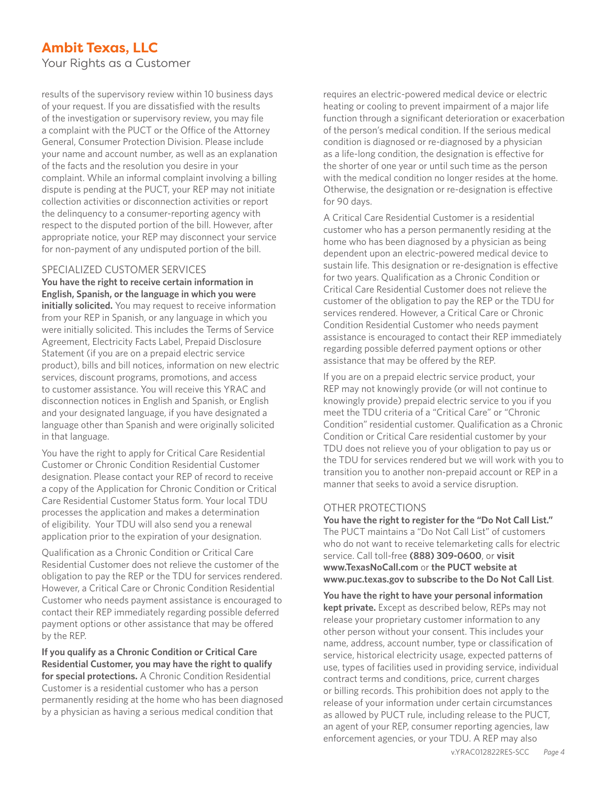Your Rights as a Customer

results of the supervisory review within 10 business days of your request. If you are dissatisfied with the results of the investigation or supervisory review, you may file a complaint with the PUCT or the Office of the Attorney General, Consumer Protection Division. Please include your name and account number, as well as an explanation of the facts and the resolution you desire in your complaint. While an informal complaint involving a billing dispute is pending at the PUCT, your REP may not initiate collection activities or disconnection activities or report the delinquency to a consumer-reporting agency with respect to the disputed portion of the bill. However, after appropriate notice, your REP may disconnect your service for non-payment of any undisputed portion of the bill.

#### SPECIALIZED CUSTOMER SERVICES

**You have the right to receive certain information in English, Spanish, or the language in which you were initially solicited.** You may request to receive information from your REP in Spanish, or any language in which you were initially solicited. This includes the Terms of Service Agreement, Electricity Facts Label, Prepaid Disclosure Statement (if you are on a prepaid electric service product), bills and bill notices, information on new electric services, discount programs, promotions, and access to customer assistance. You will receive this YRAC and disconnection notices in English and Spanish, or English and your designated language, if you have designated a language other than Spanish and were originally solicited in that language.

You have the right to apply for Critical Care Residential Customer or Chronic Condition Residential Customer designation. Please contact your REP of record to receive a copy of the Application for Chronic Condition or Critical Care Residential Customer Status form. Your local TDU processes the application and makes a determination of eligibility. Your TDU will also send you a renewal application prior to the expiration of your designation.

Qualification as a Chronic Condition or Critical Care Residential Customer does not relieve the customer of the obligation to pay the REP or the TDU for services rendered. However, a Critical Care or Chronic Condition Residential Customer who needs payment assistance is encouraged to contact their REP immediately regarding possible deferred payment options or other assistance that may be offered by the REP.

**If you qualify as a Chronic Condition or Critical Care Residential Customer, you may have the right to qualify for special protections.** A Chronic Condition Residential Customer is a residential customer who has a person permanently residing at the home who has been diagnosed by a physician as having a serious medical condition that

requires an electric-powered medical device or electric heating or cooling to prevent impairment of a major life function through a significant deterioration or exacerbation of the person's medical condition. If the serious medical condition is diagnosed or re-diagnosed by a physician as a life-long condition, the designation is effective for the shorter of one year or until such time as the person with the medical condition no longer resides at the home. Otherwise, the designation or re-designation is effective for 90 days.

A Critical Care Residential Customer is a residential customer who has a person permanently residing at the home who has been diagnosed by a physician as being dependent upon an electric-powered medical device to sustain life. This designation or re-designation is effective for two years. Qualification as a Chronic Condition or Critical Care Residential Customer does not relieve the customer of the obligation to pay the REP or the TDU for services rendered. However, a Critical Care or Chronic Condition Residential Customer who needs payment assistance is encouraged to contact their REP immediately regarding possible deferred payment options or other assistance that may be offered by the REP.

If you are on a prepaid electric service product, your REP may not knowingly provide (or will not continue to knowingly provide) prepaid electric service to you if you meet the TDU criteria of a "Critical Care" or "Chronic Condition" residential customer. Qualification as a Chronic Condition or Critical Care residential customer by your TDU does not relieve you of your obligation to pay us or the TDU for services rendered but we will work with you to transition you to another non-prepaid account or REP in a manner that seeks to avoid a service disruption.

#### OTHER PROTECTIONS

**You have the right to register for the "Do Not Call List."** The PUCT maintains a "Do Not Call List" of customers who do not want to receive telemarketing calls for electric service. Call toll-free **(888) 309-0600**, or **visit www.TexasNoCall.com** or **the PUCT website at www.puc.texas.gov to subscribe to the Do Not Call List**.

**You have the right to have your personal information kept private.** Except as described below, REPs may not release your proprietary customer information to any other person without your consent. This includes your name, address, account number, type or classification of service, historical electricity usage, expected patterns of use, types of facilities used in providing service, individual contract terms and conditions, price, current charges or billing records. This prohibition does not apply to the release of your information under certain circumstances as allowed by PUCT rule, including release to the PUCT, an agent of your REP, consumer reporting agencies, law enforcement agencies, or your TDU. A REP may also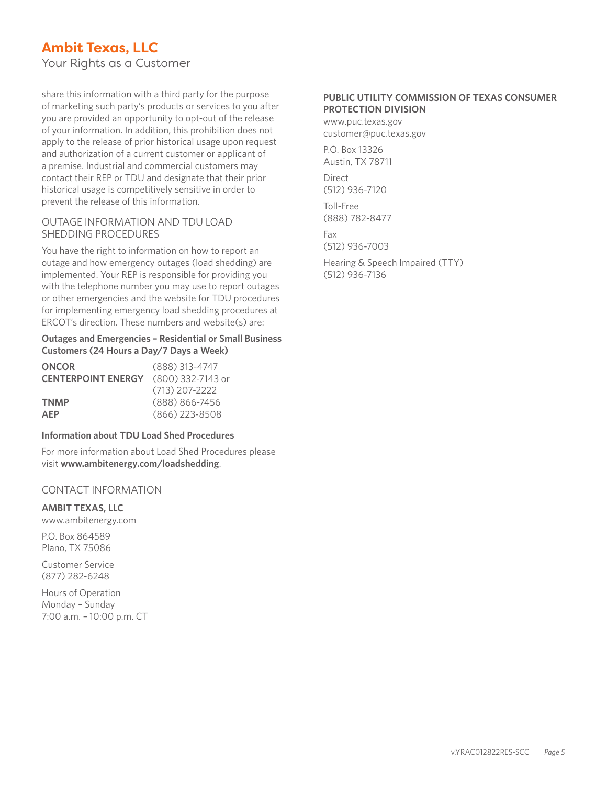Your Rights as a Customer

share this information with a third party for the purpose of marketing such party's products or services to you after you are provided an opportunity to opt-out of the release of your information. In addition, this prohibition does not apply to the release of prior historical usage upon request and authorization of a current customer or applicant of a premise. Industrial and commercial customers may contact their REP or TDU and designate that their prior historical usage is competitively sensitive in order to prevent the release of this information.

#### OUTAGE INFORMATION AND TDU LOAD SHEDDING PROCEDURES

You have the right to information on how to report an outage and how emergency outages (load shedding) are implemented. Your REP is responsible for providing you with the telephone number you may use to report outages or other emergencies and the website for TDU procedures for implementing emergency load shedding procedures at ERCOT's direction. These numbers and website(s) are:

#### **Outages and Emergencies – Residential or Small Business Customers (24 Hours a Day/7 Days a Week)**

| <b>ONCOR</b>                                | $(888)$ 313-4747 |
|---------------------------------------------|------------------|
| <b>CENTERPOINT ENERGY</b> (800) 332-7143 or |                  |
|                                             | $(713)$ 207-2222 |
| <b>TNMP</b>                                 | (888) 866-7456   |
| <b>AFP</b>                                  | $(866)$ 223-8508 |

#### **Information about TDU Load Shed Procedures**

For more information about Load Shed Procedures please visit **www.ambitenergy.com/loadshedding**.

#### CONTACT INFORMATION

**AMBIT TEXAS, LLC**

www.ambitenergy.com

P.O. Box 864589 Plano, TX 75086

Customer Service (877) 282-6248

Hours of Operation Monday – Sunday 7:00 a.m. – 10:00 p.m. CT

#### **PUBLIC UTILITY COMMISSION OF TEXAS CONSUMER PROTECTION DIVISION**

www.puc.texas.gov customer@puc.texas.gov

P.O. Box 13326 Austin, TX 78711

Direct (512) 936-7120

Toll-Free (888) 782-8477

Fax (512) 936-7003

Hearing & Speech Impaired (TTY) (512) 936-7136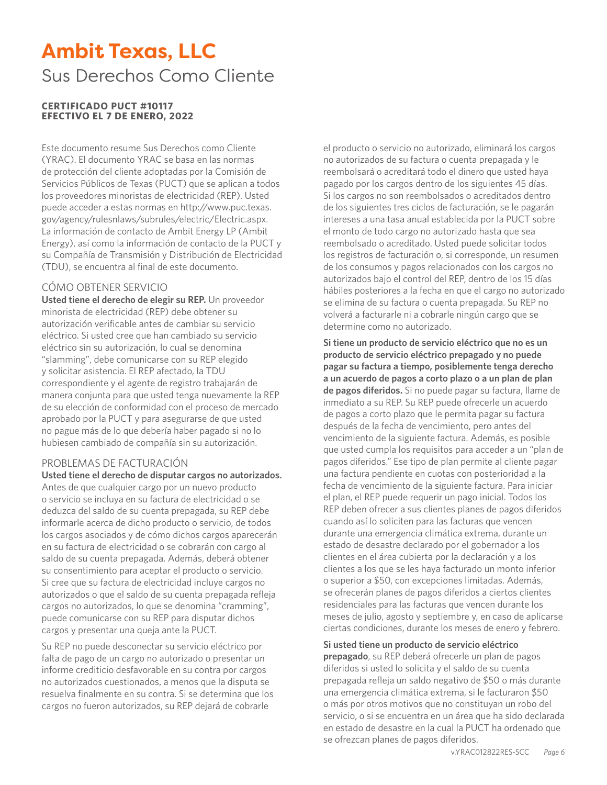## **Ambit Texas, LLC** Sus Derechos Como Cliente

#### **CERTIFICADO PUCT #10117 EFECTIVO EL 7 DE ENERO, 2022**

Este documento resume Sus Derechos como Cliente (YRAC). El documento YRAC se basa en las normas de protección del cliente adoptadas por la Comisión de Servicios Públicos de Texas (PUCT) que se aplican a todos los proveedores minoristas de electricidad (REP). Usted puede acceder a estas normas en http://www.puc.texas. gov/agency/rulesnlaws/subrules/electric/Electric.aspx. La información de contacto de Ambit Energy LP (Ambit Energy), así como la información de contacto de la PUCT y su Compañía de Transmisión y Distribución de Electricidad (TDU), se encuentra al final de este documento.

#### CÓMO OBTENER SERVICIO

**Usted tiene el derecho de elegir su REP.** Un proveedor minorista de electricidad (REP) debe obtener su autorización verificable antes de cambiar su servicio eléctrico. Si usted cree que han cambiado su servicio eléctrico sin su autorización, lo cual se denomina "slamming", debe comunicarse con su REP elegido y solicitar asistencia. El REP afectado, la TDU correspondiente y el agente de registro trabajarán de manera conjunta para que usted tenga nuevamente la REP de su elección de conformidad con el proceso de mercado aprobado por la PUCT y para asegurarse de que usted no pague más de lo que debería haber pagado si no lo hubiesen cambiado de compañía sin su autorización.

#### PROBLEMAS DE FACTURACIÓN

**Usted tiene el derecho de disputar cargos no autorizados.** Antes de que cualquier cargo por un nuevo producto o servicio se incluya en su factura de electricidad o se deduzca del saldo de su cuenta prepagada, su REP debe informarle acerca de dicho producto o servicio, de todos los cargos asociados y de cómo dichos cargos aparecerán en su factura de electricidad o se cobrarán con cargo al saldo de su cuenta prepagada. Además, deberá obtener su consentimiento para aceptar el producto o servicio. Si cree que su factura de electricidad incluye cargos no autorizados o que el saldo de su cuenta prepagada refleja cargos no autorizados, lo que se denomina "cramming", puede comunicarse con su REP para disputar dichos cargos y presentar una queja ante la PUCT.

Su REP no puede desconectar su servicio eléctrico por falta de pago de un cargo no autorizado o presentar un informe crediticio desfavorable en su contra por cargos no autorizados cuestionados, a menos que la disputa se resuelva finalmente en su contra. Si se determina que los cargos no fueron autorizados, su REP dejará de cobrarle

el producto o servicio no autorizado, eliminará los cargos no autorizados de su factura o cuenta prepagada y le reembolsará o acreditará todo el dinero que usted haya pagado por los cargos dentro de los siguientes 45 días. Si los cargos no son reembolsados o acreditados dentro de los siguientes tres ciclos de facturación, se le pagarán intereses a una tasa anual establecida por la PUCT sobre el monto de todo cargo no autorizado hasta que sea reembolsado o acreditado. Usted puede solicitar todos los registros de facturación o, si corresponde, un resumen de los consumos y pagos relacionados con los cargos no autorizados bajo el control del REP, dentro de los 15 días hábiles posteriores a la fecha en que el cargo no autorizado se elimina de su factura o cuenta prepagada. Su REP no volverá a facturarle ni a cobrarle ningún cargo que se determine como no autorizado.

**Si tiene un producto de servicio eléctrico que no es un producto de servicio eléctrico prepagado y no puede pagar su factura a tiempo, posiblemente tenga derecho a un acuerdo de pagos a corto plazo o a un plan de plan de pagos diferidos.** Si no puede pagar su factura, llame de inmediato a su REP. Su REP puede ofrecerle un acuerdo de pagos a corto plazo que le permita pagar su factura después de la fecha de vencimiento, pero antes del vencimiento de la siguiente factura. Además, es posible que usted cumpla los requisitos para acceder a un "plan de pagos diferidos." Ese tipo de plan permite al cliente pagar una factura pendiente en cuotas con posterioridad a la fecha de vencimiento de la siguiente factura. Para iniciar el plan, el REP puede requerir un pago inicial. Todos los REP deben ofrecer a sus clientes planes de pagos diferidos cuando así lo soliciten para las facturas que vencen durante una emergencia climática extrema, durante un estado de desastre declarado por el gobernador a los clientes en el área cubierta por la declaración y a los clientes a los que se les haya facturado un monto inferior o superior a \$50, con excepciones limitadas. Además, se ofrecerán planes de pagos diferidos a ciertos clientes residenciales para las facturas que vencen durante los meses de julio, agosto y septiembre y, en caso de aplicarse ciertas condiciones, durante los meses de enero y febrero.

#### **Si usted tiene un producto de servicio eléctrico**

**prepagado**, su REP deberá ofrecerle un plan de pagos diferidos si usted lo solicita y el saldo de su cuenta prepagada refleja un saldo negativo de \$50 o más durante una emergencia climática extrema, si le facturaron \$50 o más por otros motivos que no constituyan un robo del servicio, o si se encuentra en un área que ha sido declarada en estado de desastre en la cual la PUCT ha ordenado que se ofrezcan planes de pagos diferidos.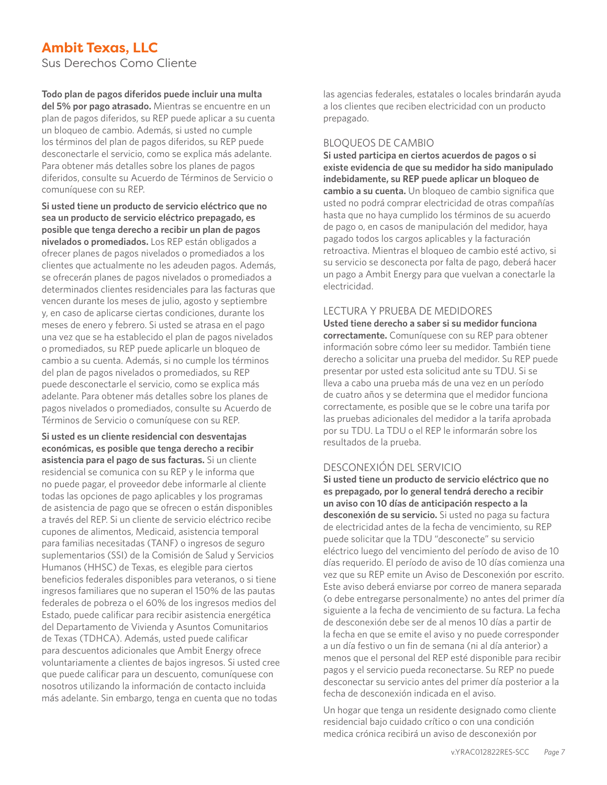Sus Derechos Como Cliente

#### **Todo plan de pagos diferidos puede incluir una multa**

**del 5% por pago atrasado.** Mientras se encuentre en un plan de pagos diferidos, su REP puede aplicar a su cuenta un bloqueo de cambio. Además, si usted no cumple los términos del plan de pagos diferidos, su REP puede desconectarle el servicio, como se explica más adelante. Para obtener más detalles sobre los planes de pagos diferidos, consulte su Acuerdo de Términos de Servicio o comuníquese con su REP.

**Si usted tiene un producto de servicio eléctrico que no sea un producto de servicio eléctrico prepagado, es posible que tenga derecho a recibir un plan de pagos nivelados o promediados.** Los REP están obligados a ofrecer planes de pagos nivelados o promediados a los clientes que actualmente no les adeuden pagos. Además, se ofrecerán planes de pagos nivelados o promediados a determinados clientes residenciales para las facturas que vencen durante los meses de julio, agosto y septiembre y, en caso de aplicarse ciertas condiciones, durante los meses de enero y febrero. Si usted se atrasa en el pago una vez que se ha establecido el plan de pagos nivelados o promediados, su REP puede aplicarle un bloqueo de cambio a su cuenta. Además, si no cumple los términos del plan de pagos nivelados o promediados, su REP puede desconectarle el servicio, como se explica más adelante. Para obtener más detalles sobre los planes de pagos nivelados o promediados, consulte su Acuerdo de Términos de Servicio o comuníquese con su REP.

**Si usted es un cliente residencial con desventajas económicas, es posible que tenga derecho a recibir asistencia para el pago de sus facturas.** Si un cliente residencial se comunica con su REP y le informa que no puede pagar, el proveedor debe informarle al cliente todas las opciones de pago aplicables y los programas de asistencia de pago que se ofrecen o están disponibles a través del REP. Si un cliente de servicio eléctrico recibe cupones de alimentos, Medicaid, asistencia temporal para familias necesitadas (TANF) o ingresos de seguro suplementarios (SSI) de la Comisión de Salud y Servicios Humanos (HHSC) de Texas, es elegible para ciertos beneficios federales disponibles para veteranos, o si tiene ingresos familiares que no superan el 150% de las pautas federales de pobreza o el 60% de los ingresos medios del Estado, puede calificar para recibir asistencia energética del Departamento de Vivienda y Asuntos Comunitarios de Texas (TDHCA). Además, usted puede calificar para descuentos adicionales que Ambit Energy ofrece voluntariamente a clientes de bajos ingresos. Si usted cree que puede calificar para un descuento, comuníquese con nosotros utilizando la información de contacto incluida más adelante. Sin embargo, tenga en cuenta que no todas

las agencias federales, estatales o locales brindarán ayuda a los clientes que reciben electricidad con un producto prepagado.

#### BLOQUEOS DE CAMBIO

**Si usted participa en ciertos acuerdos de pagos o si existe evidencia de que su medidor ha sido manipulado indebidamente, su REP puede aplicar un bloqueo de cambio a su cuenta.** Un bloqueo de cambio significa que usted no podrá comprar electricidad de otras compañías hasta que no haya cumplido los términos de su acuerdo de pago o, en casos de manipulación del medidor, haya pagado todos los cargos aplicables y la facturación retroactiva. Mientras el bloqueo de cambio esté activo, si su servicio se desconecta por falta de pago, deberá hacer un pago a Ambit Energy para que vuelvan a conectarle la electricidad.

#### LECTURA Y PRUEBA DE MEDIDORES

**Usted tiene derecho a saber si su medidor funciona correctamente.** Comuníquese con su REP para obtener información sobre cómo leer su medidor. También tiene derecho a solicitar una prueba del medidor. Su REP puede presentar por usted esta solicitud ante su TDU. Si se lleva a cabo una prueba más de una vez en un período de cuatro años y se determina que el medidor funciona correctamente, es posible que se le cobre una tarifa por las pruebas adicionales del medidor a la tarifa aprobada por su TDU. La TDU o el REP le informarán sobre los resultados de la prueba.

#### DESCONEXIÓN DEL SERVICIO

**Si usted tiene un producto de servicio eléctrico que no es prepagado, por lo general tendrá derecho a recibir un aviso con 10 días de anticipación respecto a la desconexión de su servicio.** Si usted no paga su factura de electricidad antes de la fecha de vencimiento, su REP puede solicitar que la TDU "desconecte" su servicio eléctrico luego del vencimiento del período de aviso de 10 días requerido. El período de aviso de 10 días comienza una vez que su REP emite un Aviso de Desconexión por escrito. Este aviso deberá enviarse por correo de manera separada (o debe entregarse personalmente) no antes del primer día siguiente a la fecha de vencimiento de su factura. La fecha de desconexión debe ser de al menos 10 días a partir de la fecha en que se emite el aviso y no puede corresponder a un día festivo o un fin de semana (ni al día anterior) a menos que el personal del REP esté disponible para recibir pagos y el servicio pueda reconectarse. Su REP no puede desconectar su servicio antes del primer día posterior a la fecha de desconexión indicada en el aviso.

Un hogar que tenga un residente designado como cliente residencial bajo cuidado crítico o con una condición medica crónica recibirá un aviso de desconexión por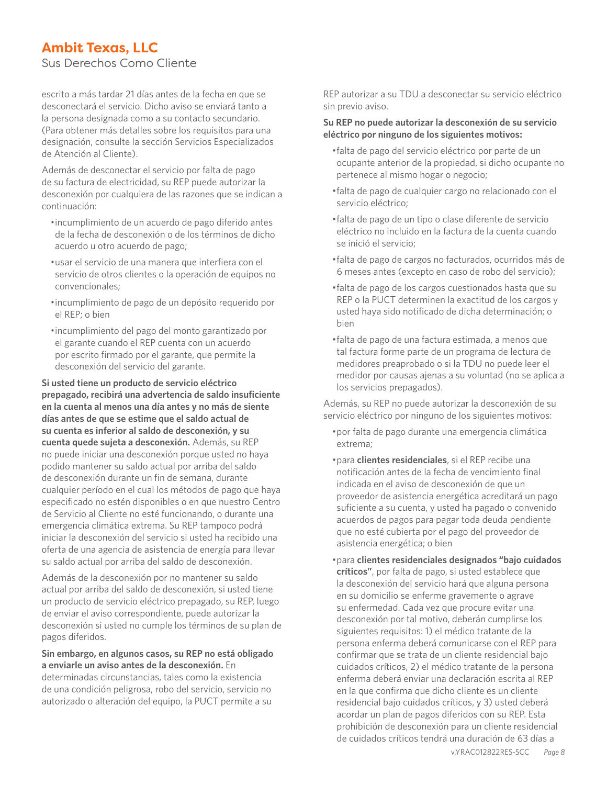Sus Derechos Como Cliente

escrito a más tardar 21 días antes de la fecha en que se desconectará el servicio. Dicho aviso se enviará tanto a la persona designada como a su contacto secundario. (Para obtener más detalles sobre los requisitos para una designación, consulte la sección Servicios Especializados de Atención al Cliente).

Además de desconectar el servicio por falta de pago de su factura de electricidad, su REP puede autorizar la desconexión por cualquiera de las razones que se indican a continuación:

- •incumplimiento de un acuerdo de pago diferido antes de la fecha de desconexión o de los términos de dicho acuerdo u otro acuerdo de pago;
- •usar el servicio de una manera que interfiera con el servicio de otros clientes o la operación de equipos no convencionales;
- •incumplimiento de pago de un depósito requerido por el REP; o bien
- •incumplimiento del pago del monto garantizado por el garante cuando el REP cuenta con un acuerdo por escrito firmado por el garante, que permite la desconexión del servicio del garante.

**Si usted tiene un producto de servicio eléctrico prepagado, recibirá una advertencia de saldo insuficiente en la cuenta al menos una día antes y no más de siente días antes de que se estime que el saldo actual de su cuenta es inferior al saldo de desconexión, y su cuenta quede sujeta a desconexión.** Además, su REP no puede iniciar una desconexión porque usted no haya podido mantener su saldo actual por arriba del saldo de desconexión durante un fin de semana, durante cualquier período en el cual los métodos de pago que haya especificado no estén disponibles o en que nuestro Centro de Servicio al Cliente no esté funcionando, o durante una emergencia climática extrema. Su REP tampoco podrá iniciar la desconexión del servicio si usted ha recibido una oferta de una agencia de asistencia de energía para llevar su saldo actual por arriba del saldo de desconexión.

Además de la desconexión por no mantener su saldo actual por arriba del saldo de desconexión, si usted tiene un producto de servicio eléctrico prepagado, su REP, luego de enviar el aviso correspondiente, puede autorizar la desconexión si usted no cumple los términos de su plan de pagos diferidos.

**Sin embargo, en algunos casos, su REP no está obligado a enviarle un aviso antes de la desconexión.** En determinadas circunstancias, tales como la existencia de una condición peligrosa, robo del servicio, servicio no autorizado o alteración del equipo, la PUCT permite a su

REP autorizar a su TDU a desconectar su servicio eléctrico sin previo aviso.

#### **Su REP no puede autorizar la desconexión de su servicio eléctrico por ninguno de los siguientes motivos:**

- •falta de pago del servicio eléctrico por parte de un ocupante anterior de la propiedad, si dicho ocupante no pertenece al mismo hogar o negocio;
- •falta de pago de cualquier cargo no relacionado con el servicio eléctrico;
- •falta de pago de un tipo o clase diferente de servicio eléctrico no incluido en la factura de la cuenta cuando se inició el servicio;
- •falta de pago de cargos no facturados, ocurridos más de 6 meses antes (excepto en caso de robo del servicio);
- •falta de pago de los cargos cuestionados hasta que su REP o la PUCT determinen la exactitud de los cargos y usted haya sido notificado de dicha determinación; o bien
- •falta de pago de una factura estimada, a menos que tal factura forme parte de un programa de lectura de medidores preaprobado o si la TDU no puede leer el medidor por causas ajenas a su voluntad (no se aplica a los servicios prepagados).

Además, su REP no puede autorizar la desconexión de su servicio eléctrico por ninguno de los siguientes motivos:

- •por falta de pago durante una emergencia climática extrema;
- •para **clientes residenciales**, si el REP recibe una notificación antes de la fecha de vencimiento final indicada en el aviso de desconexión de que un proveedor de asistencia energética acreditará un pago suficiente a su cuenta, y usted ha pagado o convenido acuerdos de pagos para pagar toda deuda pendiente que no esté cubierta por el pago del proveedor de asistencia energética; o bien
- •para **clientes residenciales designados "bajo cuidados críticos"**, por falta de pago, si usted establece que la desconexión del servicio hará que alguna persona en su domicilio se enferme gravemente o agrave su enfermedad. Cada vez que procure evitar una desconexión por tal motivo, deberán cumplirse los siguientes requisitos: 1) el médico tratante de la persona enferma deberá comunicarse con el REP para confirmar que se trata de un cliente residencial bajo cuidados críticos, 2) el médico tratante de la persona enferma deberá enviar una declaración escrita al REP en la que confirma que dicho cliente es un cliente residencial bajo cuidados críticos, y 3) usted deberá acordar un plan de pagos diferidos con su REP. Esta prohibición de desconexión para un cliente residencial de cuidados críticos tendrá una duración de 63 días a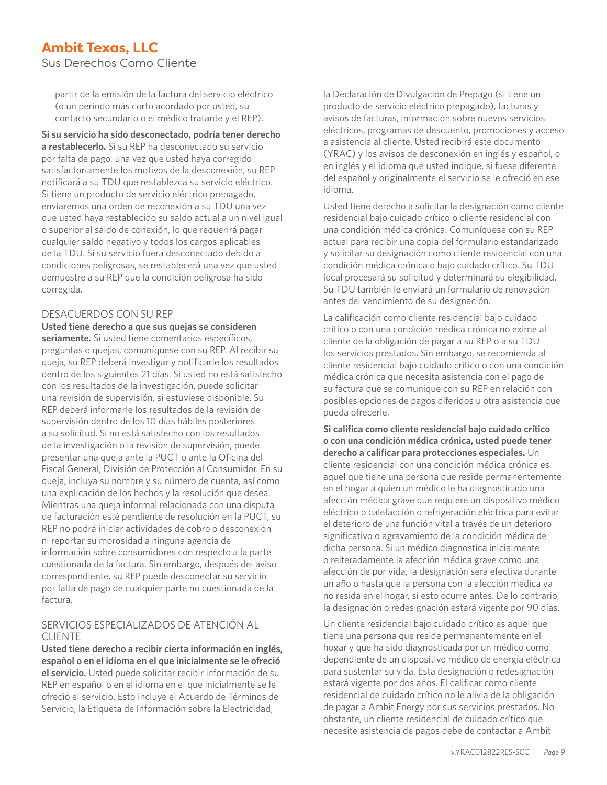Sus Derechos Como Cliente

partir de la emisión de la factura del servicio eléctrico (o un período más corto acordado por usted, su contacto secundario o el médico tratante y el REP).

**Si su servicio ha sido desconectado, podría tener derecho a restablecerlo.** Si su REP ha desconectado su servicio por falta de pago, una vez que usted haya corregido satisfactoriamente los motivos de la desconexión, su REP notificará a su TDU que restablezca su servicio eléctrico. Si tiene un producto de servicio eléctrico prepagado, enviaremos una orden de reconexión a su TDU una vez que usted haya restablecido su saldo actual a un nivel igual o superior al saldo de conexión, lo que requerirá pagar cualquier saldo negativo y todos los cargos aplicables de la TDU. Si su servicio fuera desconectado debido a condiciones peligrosas, se restablecerá una vez que usted demuestre a su REP que la condición peligrosa ha sido corregida.

#### DESACUERDOS CON SU REP

**Usted tiene derecho a que sus quejas se consideren seriamente.** Si usted tiene comentarios específicos, preguntas o quejas, comuníquese con su REP. Al recibir su queja, su REP deberá investigar y notificarle los resultados dentro de los siguientes 21 días. Si usted no está satisfecho con los resultados de la investigación, puede solicitar una revisión de supervisión, si estuviese disponible. Su REP deberá informarle los resultados de la revisión de supervisión dentro de los 10 días hábiles posteriores a su solicitud. Si no está satisfecho con los resultados de la investigación o la revisión de supervisión, puede presentar una queja ante la PUCT o ante la Oficina del Fiscal General, División de Protección al Consumidor. En su queja, incluya su nombre y su número de cuenta, así como una explicación de los hechos y la resolución que desea. Mientras una queja informal relacionada con una disputa de facturación esté pendiente de resolución en la PUCT, su REP no podrá iniciar actividades de cobro o desconexión ni reportar su morosidad a ninguna agencia de información sobre consumidores con respecto a la parte cuestionada de la factura. Sin embargo, después del aviso correspondiente, su REP puede desconectar su servicio por falta de pago de cualquier parte no cuestionada de la factura.

#### SERVICIOS ESPECIALIZADOS DE ATENCIÓN AL CLIENTE

**Usted tiene derecho a recibir cierta información en inglés, español o en el idioma en el que inicialmente se le ofreció el servicio.** Usted puede solicitar recibir información de su REP en español o en el idioma en el que inicialmente se le ofreció el servicio. Esto incluye el Acuerdo de Términos de Servicio, la Etiqueta de Información sobre la Electricidad,

la Declaración de Divulgación de Prepago (si tiene un producto de servicio eléctrico prepagado), facturas y avisos de facturas, información sobre nuevos servicios eléctricos, programas de descuento, promociones y acceso a asistencia al cliente. Usted recibirá este documento (YRAC) y los avisos de desconexión en inglés y español, o en inglés y el idioma que usted indique, si fuese diferente del español y originalmente el servicio se le ofreció en ese idioma.

Usted tiene derecho a solicitar la designación como cliente residencial bajo cuidado crítico o cliente residencial con una condición médica crónica. Comuníquese con su REP actual para recibir una copia del formulario estandarizado y solicitar su designación como cliente residencial con una condición médica crónica o bajo cuidado crítico. Su TDU local procesará su solicitud y determinará su elegibilidad. Su TDU también le enviará un formulario de renovación antes del vencimiento de su designación.

La calificación como cliente residencial bajo cuidado crítico o con una condición médica crónica no exime al cliente de la obligación de pagar a su REP o a su TDU los servicios prestados. Sin embargo, se recomienda al cliente residencial bajo cuidado crítico o con una condición médica crónica que necesita asistencia con el pago de su factura que se comunique con su REP en relación con posibles opciones de pagos diferidos u otra asistencia que pueda ofrecerle.

**Si califica como cliente residencial bajo cuidado crítico o con una condición médica crónica, usted puede tener derecho a calificar para protecciones especiales.** Un cliente residencial con una condición médica crónica es aquel que tiene una persona que reside permanentemente en el hogar a quien un médico le ha diagnosticado una afección médica grave que requiere un dispositivo médico eléctrico o calefacción o refrigeración eléctrica para evitar el deterioro de una función vital a través de un deterioro significativo o agravamiento de la condición médica de dicha persona. Si un médico diagnostica inicialmente o reiteradamente la afección médica grave como una afección de por vida, la designación será efectiva durante un año o hasta que la persona con la afección médica ya no resida en el hogar, si esto ocurre antes. De lo contrario, la designación o redesignación estará vigente por 90 días.

Un cliente residencial bajo cuidado crítico es aquel que tiene una persona que reside permanentemente en el hogar y que ha sido diagnosticada por un médico como dependiente de un dispositivo médico de energía eléctrica para sustentar su vida. Esta designación o redesignación estará vigente por dos años. El calificar como cliente residencial de cuidado crítico no le alivia de la obligación de pagar a Ambit Energy por sus servicios prestados. No obstante, un cliente residencial de cuidado crítico que necesite asistencia de pagos debe de contactar a Ambit